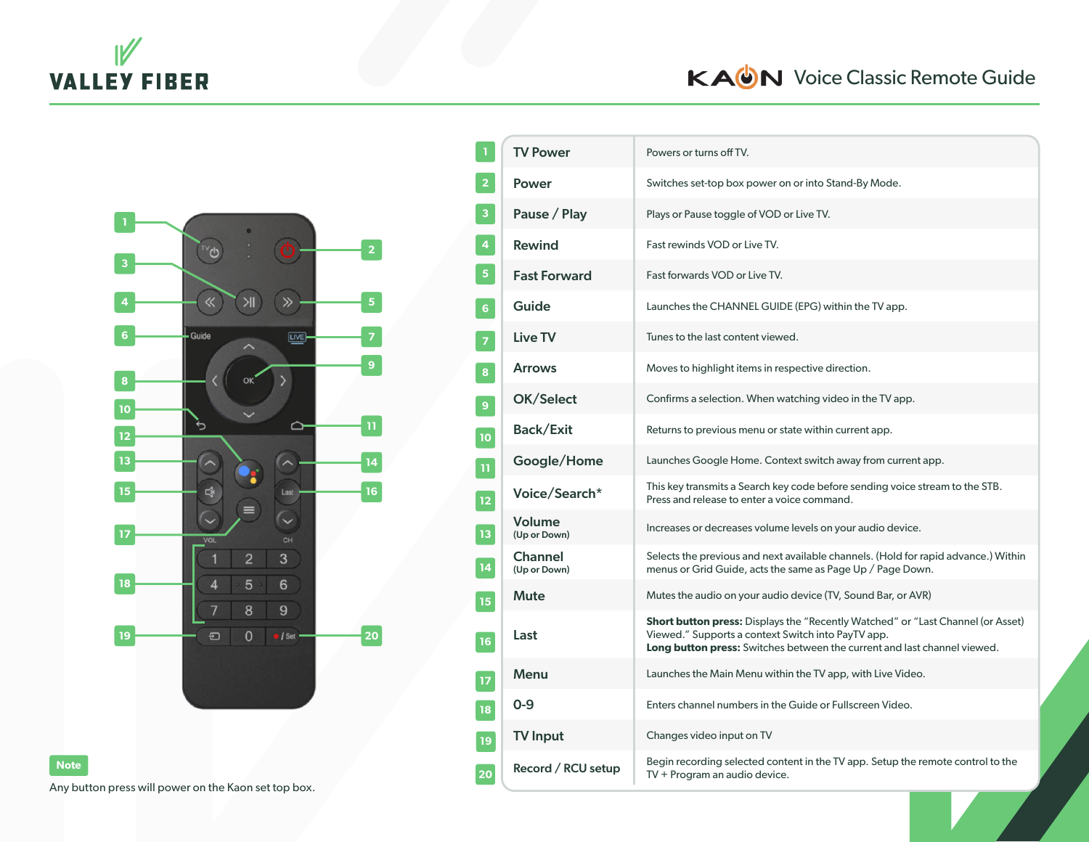

## KAUN Voice Classic Remote Guide



**20**

| $\mathbf 1$             | <b>TV Power</b>                | Powers or turns off TV.                                                                                                                                                                                                  |
|-------------------------|--------------------------------|--------------------------------------------------------------------------------------------------------------------------------------------------------------------------------------------------------------------------|
| $\overline{2}$          | <b>Power</b>                   | Switches set-top box power on or into Stand-By Mode.                                                                                                                                                                     |
| $\overline{\mathbf{3}}$ | Pause / Play                   | Plays or Pause toggle of VOD or Live TV.                                                                                                                                                                                 |
| $\overline{\mathbf{4}}$ | <b>Rewind</b>                  | Fast rewinds VOD or Live TV.                                                                                                                                                                                             |
| $\overline{\mathbf{5}}$ | <b>Fast Forward</b>            | Fast forwards VOD or Live TV.                                                                                                                                                                                            |
| 6 <sup>1</sup>          | Guide                          | Launches the CHANNEL GUIDE (EPG) within the TV app.                                                                                                                                                                      |
| $\overline{\textbf{z}}$ | Live TV                        | Tunes to the last content viewed.                                                                                                                                                                                        |
| 8                       | <b>Arrows</b>                  | Moves to highlight items in respective direction.                                                                                                                                                                        |
| 9                       | OK/Select                      | Confirms a selection. When watching video in the TV app.                                                                                                                                                                 |
| 10                      | <b>Back/Exit</b>               | Returns to previous menu or state within current app.                                                                                                                                                                    |
| Ħ                       | Google/Home                    | Launches Google Home. Context switch away from current app.                                                                                                                                                              |
| 12                      | Voice/Search*                  | This key transmits a Search key code before sending voice stream to the STB.<br>Press and release to enter a voice command.                                                                                              |
| 13                      | Volume<br>(Up or Down)         | Increases or decreases volume levels on your audio device.                                                                                                                                                               |
| 14                      | <b>Channel</b><br>(Up or Down) | Selects the previous and next available channels. (Hold for rapid advance.) Within<br>menus or Grid Guide, acts the same as Page Up / Page Down.                                                                         |
| 15                      | <b>Mute</b>                    | Mutes the audio on your audio device (TV, Sound Bar, or AVR)                                                                                                                                                             |
| 16                      | Last                           | <b>Short button press:</b> Displays the "Recently Watched" or "Last Channel (or Asset)<br>Viewed." Supports a context Switch into PayTV app.<br>Long button press: Switches between the current and last channel viewed. |
| 17                      | Menu                           | Launches the Main Menu within the TV app, with Live Video.                                                                                                                                                               |
| 18                      | $O-9$                          | Enters channel numbers in the Guide or Fullscreen Video.                                                                                                                                                                 |
| 19                      | <b>TV Input</b>                | Changes video input on TV                                                                                                                                                                                                |
| 20                      | Record / RCU setup             | Begin recording selected content in the TV app. Setup the remote control to the<br>TV + Program an audio device.                                                                                                         |

Any button press will power on the Kaon set top box.

**Note**